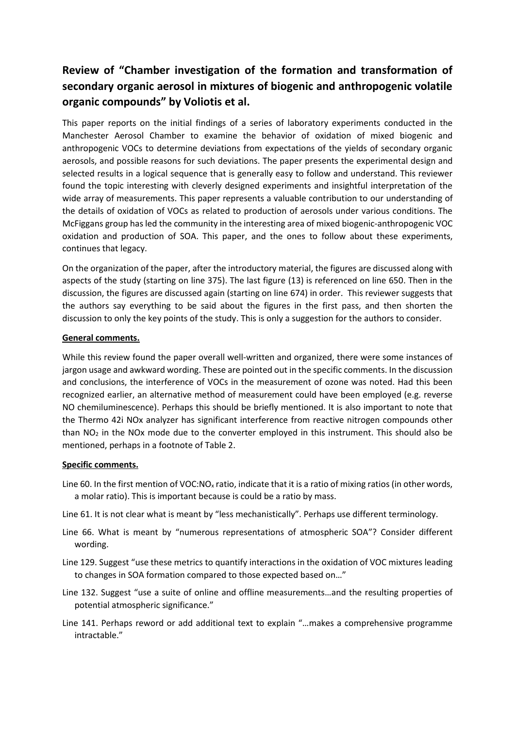## **Review of "Chamber investigation of the formation and transformation of secondary organic aerosol in mixtures of biogenic and anthropogenic volatile organic compounds" by Voliotis et al.**

This paper reports on the initial findings of a series of laboratory experiments conducted in the Manchester Aerosol Chamber to examine the behavior of oxidation of mixed biogenic and anthropogenic VOCs to determine deviations from expectations of the yields of secondary organic aerosols, and possible reasons for such deviations. The paper presents the experimental design and selected results in a logical sequence that is generally easy to follow and understand. This reviewer found the topic interesting with cleverly designed experiments and insightful interpretation of the wide array of measurements. This paper represents a valuable contribution to our understanding of the details of oxidation of VOCs as related to production of aerosols under various conditions. The McFiggans group has led the community in the interesting area of mixed biogenic-anthropogenic VOC oxidation and production of SOA. This paper, and the ones to follow about these experiments, continues that legacy.

On the organization of the paper, after the introductory material, the figures are discussed along with aspects of the study (starting on line 375). The last figure (13) is referenced on line 650. Then in the discussion, the figures are discussed again (starting on line 674) in order. This reviewer suggests that the authors say everything to be said about the figures in the first pass, and then shorten the discussion to only the key points of the study. This is only a suggestion for the authors to consider.

## **General comments.**

While this review found the paper overall well-written and organized, there were some instances of jargon usage and awkward wording. These are pointed out in the specific comments. In the discussion and conclusions, the interference of VOCs in the measurement of ozone was noted. Had this been recognized earlier, an alternative method of measurement could have been employed (e.g. reverse NO chemiluminescence). Perhaps this should be briefly mentioned. It is also important to note that the Thermo 42i NOx analyzer has significant interference from reactive nitrogen compounds other than  $NO<sub>2</sub>$  in the NOx mode due to the converter employed in this instrument. This should also be mentioned, perhaps in a footnote of Table 2.

## **Specific comments.**

- Line 60. In the first mention of VOC:NO<sub>x</sub> ratio, indicate that it is a ratio of mixing ratios (in other words, a molar ratio). This is important because is could be a ratio by mass.
- Line 61. It is not clear what is meant by "less mechanistically". Perhaps use different terminology.
- Line 66. What is meant by "numerous representations of atmospheric SOA"? Consider different wording.
- Line 129. Suggest "use these metrics to quantify interactions in the oxidation of VOC mixtures leading to changes in SOA formation compared to those expected based on…"
- Line 132. Suggest "use a suite of online and offline measurements…and the resulting properties of potential atmospheric significance."
- Line 141. Perhaps reword or add additional text to explain "…makes a comprehensive programme intractable."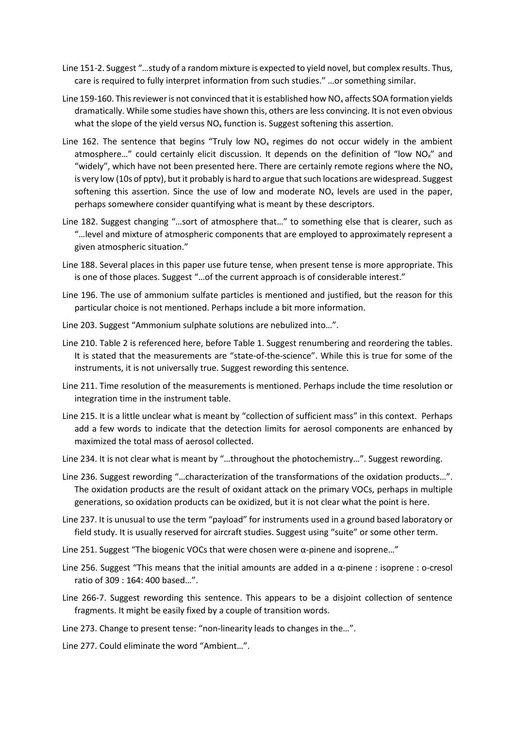- Line 151-2. Suggest "…study of a random mixture is expected to yield novel, but complex results. Thus, care is required to fully interpret information from such studies." …or something similar.
- Line 159-160. This reviewer is not convinced that it is established how  $NO<sub>x</sub>$  affects SOA formation yields dramatically. While some studies have shown this, others are less convincing. It is not even obvious what the slope of the yield versus  $NO<sub>x</sub>$  function is. Suggest softening this assertion.
- Line 162. The sentence that begins "Truly low  $NO<sub>x</sub>$  regimes do not occur widely in the ambient atmosphere..." could certainly elicit discussion. It depends on the definition of "low NO<sub>x</sub>" and "widely", which have not been presented here. There are certainly remote regions where the  $NO<sub>x</sub>$ is very low (10s of pptv), but it probably is hard to argue that such locations are widespread. Suggest softening this assertion. Since the use of low and moderate  $NO<sub>x</sub>$  levels are used in the paper, perhaps somewhere consider quantifying what is meant by these descriptors.
- Line 182. Suggest changing "…sort of atmosphere that…" to something else that is clearer, such as "…level and mixture of atmospheric components that are employed to approximately represent a given atmospheric situation."
- Line 188. Several places in this paper use future tense, when present tense is more appropriate. This is one of those places. Suggest "…of the current approach is of considerable interest."
- Line 196. The use of ammonium sulfate particles is mentioned and justified, but the reason for this particular choice is not mentioned. Perhaps include a bit more information.
- Line 203. Suggest "Ammonium sulphate solutions are nebulized into…".
- Line 210. Table 2 is referenced here, before Table 1. Suggest renumbering and reordering the tables. It is stated that the measurements are "state-of-the-science". While this is true for some of the instruments, it is not universally true. Suggest rewording this sentence.
- Line 211. Time resolution of the measurements is mentioned. Perhaps include the time resolution or integration time in the instrument table.
- Line 215. It is a little unclear what is meant by "collection of sufficient mass" in this context. Perhaps add a few words to indicate that the detection limits for aerosol components are enhanced by maximized the total mass of aerosol collected.
- Line 234. It is not clear what is meant by "…throughout the photochemistry…". Suggest rewording.
- Line 236. Suggest rewording "…characterization of the transformations of the oxidation products…". The oxidation products are the result of oxidant attack on the primary VOCs, perhaps in multiple generations, so oxidation products can be oxidized, but it is not clear what the point is here.
- Line 237. It is unusual to use the term "payload" for instruments used in a ground based laboratory or field study. It is usually reserved for aircraft studies. Suggest using "suite" or some other term.
- Line 251. Suggest "The biogenic VOCs that were chosen were  $\alpha$ -pinene and isoprene..."
- Line 256. Suggest "This means that the initial amounts are added in a  $\alpha$ -pinene : isoprene : o-cresol ratio of 309 : 164: 400 based…".
- Line 266-7. Suggest rewording this sentence. This appears to be a disjoint collection of sentence fragments. It might be easily fixed by a couple of transition words.
- Line 273. Change to present tense: "non-linearity leads to changes in the…".
- Line 277. Could eliminate the word "Ambient…".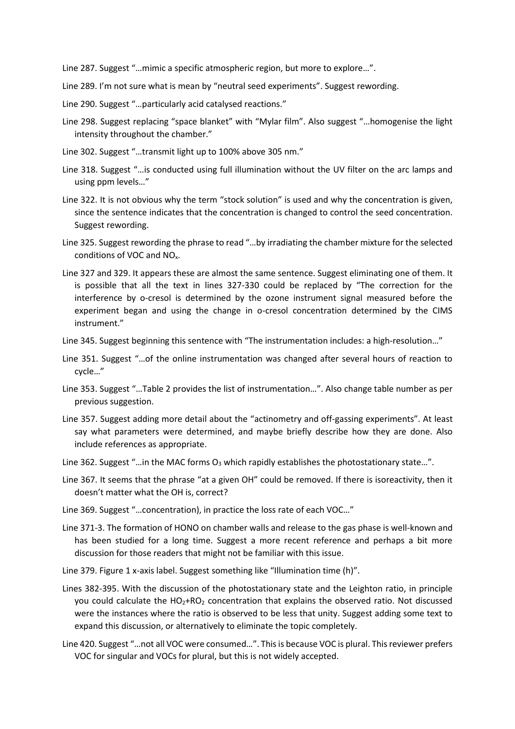Line 287. Suggest "…mimic a specific atmospheric region, but more to explore…".

- Line 289. I'm not sure what is mean by "neutral seed experiments". Suggest rewording.
- Line 290. Suggest "…particularly acid catalysed reactions."
- Line 298. Suggest replacing "space blanket" with "Mylar film". Also suggest "…homogenise the light intensity throughout the chamber."
- Line 302. Suggest "…transmit light up to 100% above 305 nm."
- Line 318. Suggest "…is conducted using full illumination without the UV filter on the arc lamps and using ppm levels…"
- Line 322. It is not obvious why the term "stock solution" is used and why the concentration is given, since the sentence indicates that the concentration is changed to control the seed concentration. Suggest rewording.
- Line 325. Suggest rewording the phrase to read "…by irradiating the chamber mixture for the selected conditions of VOC and NOx.
- Line 327 and 329. It appears these are almost the same sentence. Suggest eliminating one of them. It is possible that all the text in lines 327-330 could be replaced by "The correction for the interference by o-cresol is determined by the ozone instrument signal measured before the experiment began and using the change in o-cresol concentration determined by the CIMS instrument."
- Line 345. Suggest beginning this sentence with "The instrumentation includes: a high-resolution…"
- Line 351. Suggest "…of the online instrumentation was changed after several hours of reaction to cycle…"
- Line 353. Suggest "…Table 2 provides the list of instrumentation…". Also change table number as per previous suggestion.
- Line 357. Suggest adding more detail about the "actinometry and off-gassing experiments". At least say what parameters were determined, and maybe briefly describe how they are done. Also include references as appropriate.
- Line 362. Suggest "... in the MAC forms  $O_3$  which rapidly establishes the photostationary state...".
- Line 367. It seems that the phrase "at a given OH" could be removed. If there is isoreactivity, then it doesn't matter what the OH is, correct?
- Line 369. Suggest "…concentration), in practice the loss rate of each VOC…"
- Line 371-3. The formation of HONO on chamber walls and release to the gas phase is well-known and has been studied for a long time. Suggest a more recent reference and perhaps a bit more discussion for those readers that might not be familiar with this issue.
- Line 379. Figure 1 x-axis label. Suggest something like "Illumination time (h)".
- Lines 382-395. With the discussion of the photostationary state and the Leighton ratio, in principle you could calculate the HO<sub>2</sub>+RO<sub>2</sub> concentration that explains the observed ratio. Not discussed were the instances where the ratio is observed to be less that unity. Suggest adding some text to expand this discussion, or alternatively to eliminate the topic completely.
- Line 420. Suggest "…not all VOC were consumed…". This is because VOC is plural. This reviewer prefers VOC for singular and VOCs for plural, but this is not widely accepted.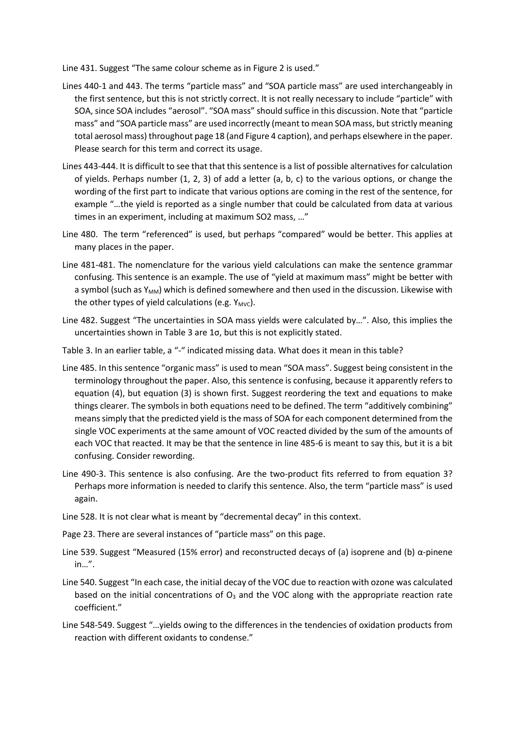Line 431. Suggest "The same colour scheme as in Figure 2 is used."

- Lines 440-1 and 443. The terms "particle mass" and "SOA particle mass" are used interchangeably in the first sentence, but this is not strictly correct. It is not really necessary to include "particle" with SOA, since SOA includes "aerosol". "SOA mass" should suffice in this discussion. Note that "particle mass" and "SOA particle mass" are used incorrectly (meant to mean SOA mass, but strictly meaning total aerosol mass) throughout page 18 (and Figure 4 caption), and perhaps elsewhere in the paper. Please search for this term and correct its usage.
- Lines 443-444. It is difficult to see that that this sentence is a list of possible alternatives for calculation of yields. Perhaps number (1, 2, 3) of add a letter (a, b, c) to the various options, or change the wording of the first part to indicate that various options are coming in the rest of the sentence, for example "…the yield is reported as a single number that could be calculated from data at various times in an experiment, including at maximum SO2 mass, …"
- Line 480. The term "referenced" is used, but perhaps "compared" would be better. This applies at many places in the paper.
- Line 481-481. The nomenclature for the various yield calculations can make the sentence grammar confusing. This sentence is an example. The use of "yield at maximum mass" might be better with a symbol (such as  $Y_{MM}$ ) which is defined somewhere and then used in the discussion. Likewise with the other types of yield calculations (e.g.  $Y_{MVC}$ ).
- Line 482. Suggest "The uncertainties in SOA mass yields were calculated by…". Also, this implies the uncertainties shown in Table 3 are 1σ, but this is not explicitly stated.
- Table 3. In an earlier table, a "-" indicated missing data. What does it mean in this table?
- Line 485. In this sentence "organic mass" is used to mean "SOA mass". Suggest being consistent in the terminology throughout the paper. Also, this sentence is confusing, because it apparently refers to equation (4), but equation (3) is shown first. Suggest reordering the text and equations to make things clearer. The symbols in both equations need to be defined. The term "additively combining" means simply that the predicted yield is the mass of SOA for each component determined from the single VOC experiments at the same amount of VOC reacted divided by the sum of the amounts of each VOC that reacted. It may be that the sentence in line 485-6 is meant to say this, but it is a bit confusing. Consider rewording.
- Line 490-3. This sentence is also confusing. Are the two-product fits referred to from equation 3? Perhaps more information is needed to clarify this sentence. Also, the term "particle mass" is used again.
- Line 528. It is not clear what is meant by "decremental decay" in this context.
- Page 23. There are several instances of "particle mass" on this page.
- Line 539. Suggest "Measured (15% error) and reconstructed decays of (a) isoprene and (b)  $\alpha$ -pinene in…".
- Line 540. Suggest "In each case, the initial decay of the VOC due to reaction with ozone was calculated based on the initial concentrations of  $O_3$  and the VOC along with the appropriate reaction rate coefficient."
- Line 548-549. Suggest "…yields owing to the differences in the tendencies of oxidation products from reaction with different oxidants to condense."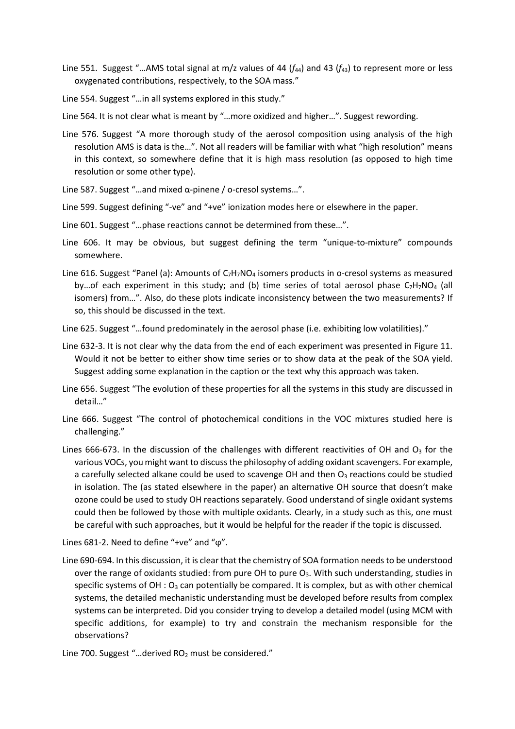Line 551. Suggest "...AMS total signal at m/z values of 44 ( $f_{44}$ ) and 43 ( $f_{43}$ ) to represent more or less oxygenated contributions, respectively, to the SOA mass."

Line 554. Suggest "…in all systems explored in this study."

Line 564. It is not clear what is meant by "…more oxidized and higher…". Suggest rewording.

- Line 576. Suggest "A more thorough study of the aerosol composition using analysis of the high resolution AMS is data is the…". Not all readers will be familiar with what "high resolution" means in this context, so somewhere define that it is high mass resolution (as opposed to high time resolution or some other type).
- Line 587. Suggest "…and mixed α-pinene / o-cresol systems…".
- Line 599. Suggest defining "-ve" and "+ve" ionization modes here or elsewhere in the paper.
- Line 601. Suggest "…phase reactions cannot be determined from these…".
- Line 606. It may be obvious, but suggest defining the term "unique-to-mixture" compounds somewhere.
- Line 616. Suggest "Panel (a): Amounts of  $C_7H_7NO_4$  isomers products in o-cresol systems as measured by... of each experiment in this study; and (b) time series of total aerosol phase  $C_7H_7NO_4$  (all isomers) from…". Also, do these plots indicate inconsistency between the two measurements? If so, this should be discussed in the text.
- Line 625. Suggest "…found predominately in the aerosol phase (i.e. exhibiting low volatilities)."
- Line 632-3. It is not clear why the data from the end of each experiment was presented in Figure 11. Would it not be better to either show time series or to show data at the peak of the SOA yield. Suggest adding some explanation in the caption or the text why this approach was taken.
- Line 656. Suggest "The evolution of these properties for all the systems in this study are discussed in detail…"
- Line 666. Suggest "The control of photochemical conditions in the VOC mixtures studied here is challenging."
- Lines 666-673. In the discussion of the challenges with different reactivities of OH and  $O<sub>3</sub>$  for the various VOCs, you might want to discuss the philosophy of adding oxidant scavengers. For example, a carefully selected alkane could be used to scavenge OH and then  $O<sub>3</sub>$  reactions could be studied in isolation. The (as stated elsewhere in the paper) an alternative OH source that doesn't make ozone could be used to study OH reactions separately. Good understand of single oxidant systems could then be followed by those with multiple oxidants. Clearly, in a study such as this, one must be careful with such approaches, but it would be helpful for the reader if the topic is discussed.

Lines 681-2. Need to define "+ve" and "ϕ".

- Line 690-694. In this discussion, it is clear that the chemistry of SOA formation needs to be understood over the range of oxidants studied: from pure OH to pure  $O_3$ . With such understanding, studies in specific systems of  $OH : O<sub>3</sub>$  can potentially be compared. It is complex, but as with other chemical systems, the detailed mechanistic understanding must be developed before results from complex systems can be interpreted. Did you consider trying to develop a detailed model (using MCM with specific additions, for example) to try and constrain the mechanism responsible for the observations?
- Line 700. Suggest "...derived  $RO<sub>2</sub>$  must be considered."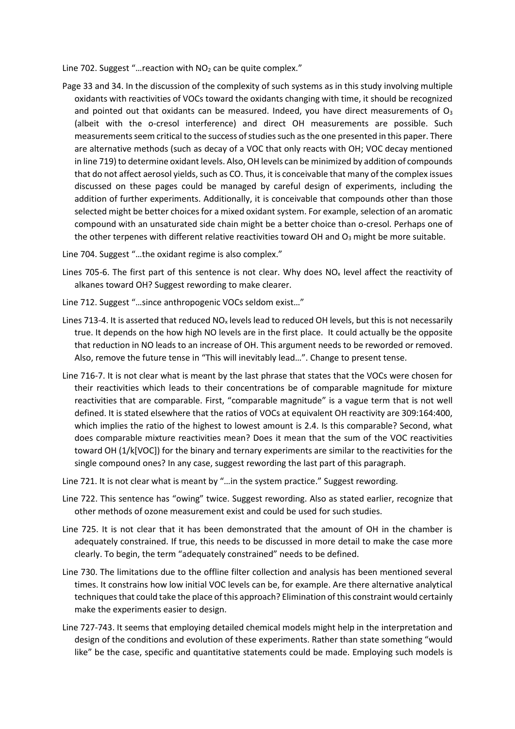Line 702. Suggest "... reaction with  $NO<sub>2</sub>$  can be quite complex."

Page 33 and 34. In the discussion of the complexity of such systems as in this study involving multiple oxidants with reactivities of VOCs toward the oxidants changing with time, it should be recognized and pointed out that oxidants can be measured. Indeed, you have direct measurements of  $O_3$ (albeit with the o-cresol interference) and direct OH measurements are possible. Such measurements seem critical to the success of studies such as the one presented in this paper. There are alternative methods (such as decay of a VOC that only reacts with OH; VOC decay mentioned in line 719) to determine oxidant levels. Also, OH levels can be minimized by addition of compounds that do not affect aerosol yields, such as CO. Thus, it is conceivable that many of the complex issues discussed on these pages could be managed by careful design of experiments, including the addition of further experiments. Additionally, it is conceivable that compounds other than those selected might be better choices for a mixed oxidant system. For example, selection of an aromatic compound with an unsaturated side chain might be a better choice than o-cresol. Perhaps one of the other terpenes with different relative reactivities toward OH and  $O_3$  might be more suitable.

Line 704. Suggest "…the oxidant regime is also complex."

- Lines 705-6. The first part of this sentence is not clear. Why does  $NO<sub>x</sub>$  level affect the reactivity of alkanes toward OH? Suggest rewording to make clearer.
- Line 712. Suggest "…since anthropogenic VOCs seldom exist…"
- Lines 713-4. It is asserted that reduced  $NO<sub>x</sub>$  levels lead to reduced OH levels, but this is not necessarily true. It depends on the how high NO levels are in the first place. It could actually be the opposite that reduction in NO leads to an increase of OH. This argument needs to be reworded or removed. Also, remove the future tense in "This will inevitably lead…". Change to present tense.
- Line 716-7. It is not clear what is meant by the last phrase that states that the VOCs were chosen for their reactivities which leads to their concentrations be of comparable magnitude for mixture reactivities that are comparable. First, "comparable magnitude" is a vague term that is not well defined. It is stated elsewhere that the ratios of VOCs at equivalent OH reactivity are 309:164:400, which implies the ratio of the highest to lowest amount is 2.4. Is this comparable? Second, what does comparable mixture reactivities mean? Does it mean that the sum of the VOC reactivities toward OH (1/k[VOC]) for the binary and ternary experiments are similar to the reactivities for the single compound ones? In any case, suggest rewording the last part of this paragraph.
- Line 721. It is not clear what is meant by "…in the system practice." Suggest rewording.
- Line 722. This sentence has "owing" twice. Suggest rewording. Also as stated earlier, recognize that other methods of ozone measurement exist and could be used for such studies.
- Line 725. It is not clear that it has been demonstrated that the amount of OH in the chamber is adequately constrained. If true, this needs to be discussed in more detail to make the case more clearly. To begin, the term "adequately constrained" needs to be defined.
- Line 730. The limitations due to the offline filter collection and analysis has been mentioned several times. It constrains how low initial VOC levels can be, for example. Are there alternative analytical techniques that could take the place of this approach? Elimination of this constraint would certainly make the experiments easier to design.
- Line 727-743. It seems that employing detailed chemical models might help in the interpretation and design of the conditions and evolution of these experiments. Rather than state something "would like" be the case, specific and quantitative statements could be made. Employing such models is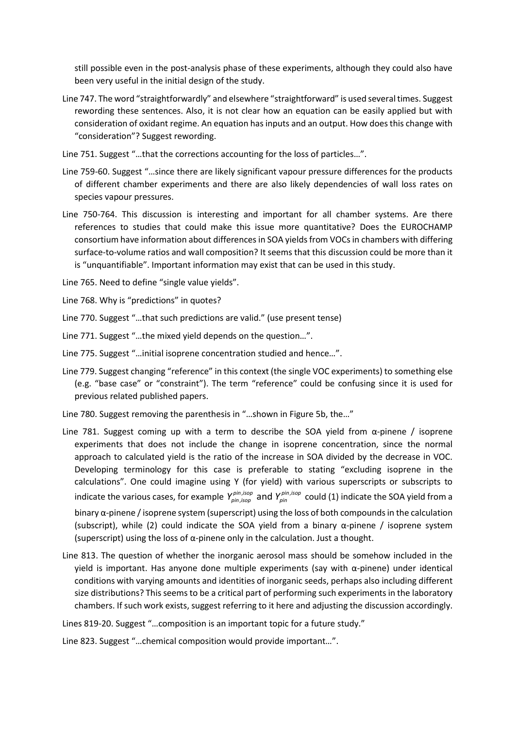still possible even in the post-analysis phase of these experiments, although they could also have been very useful in the initial design of the study.

Line 747. The word "straightforwardly" and elsewhere "straightforward" is used several times. Suggest rewording these sentences. Also, it is not clear how an equation can be easily applied but with consideration of oxidant regime. An equation has inputs and an output. How does this change with "consideration"? Suggest rewording.

Line 751. Suggest "…that the corrections accounting for the loss of particles…".

- Line 759-60. Suggest "…since there are likely significant vapour pressure differences for the products of different chamber experiments and there are also likely dependencies of wall loss rates on species vapour pressures.
- Line 750-764. This discussion is interesting and important for all chamber systems. Are there references to studies that could make this issue more quantitative? Does the EUROCHAMP consortium have information about differences in SOA yields from VOCs in chambers with differing surface-to-volume ratios and wall composition? It seems that this discussion could be more than it is "unquantifiable". Important information may exist that can be used in this study.

Line 765. Need to define "single value yields".

Line 768. Why is "predictions" in quotes?

Line 770. Suggest "…that such predictions are valid." (use present tense)

Line 771. Suggest "…the mixed yield depends on the question…".

Line 775. Suggest "…initial isoprene concentration studied and hence…".

- Line 779. Suggest changing "reference" in this context (the single VOC experiments) to something else (e.g. "base case" or "constraint"). The term "reference" could be confusing since it is used for previous related published papers.
- Line 780. Suggest removing the parenthesis in "…shown in Figure 5b, the…"
- Line 781. Suggest coming up with a term to describe the SOA yield from  $\alpha$ -pinene / isoprene experiments that does not include the change in isoprene concentration, since the normal approach to calculated yield is the ratio of the increase in SOA divided by the decrease in VOC. Developing terminology for this case is preferable to stating "excluding isoprene in the calculations". One could imagine using Y (for yield) with various superscripts or subscripts to indicate the various cases, for example  $Y_{\text{\tiny{pin},iso}}^{\text{\tiny{pun},iso}}$  and  $Y_{\text{\tiny{pin}}}^{\text{\tiny{pun}}}$ , and *pin isop pin isop pin isop pin <sup>Y</sup> <sup>Y</sup>* could (1) indicate the SOA yield from a binary  $\alpha$ -pinene / isoprene system (superscript) using the loss of both compounds in the calculation (subscript), while (2) could indicate the SOA yield from a binary  $\alpha$ -pinene / isoprene system (superscript) using the loss of  $\alpha$ -pinene only in the calculation. Just a thought.
- Line 813. The question of whether the inorganic aerosol mass should be somehow included in the yield is important. Has anyone done multiple experiments (say with α-pinene) under identical conditions with varying amounts and identities of inorganic seeds, perhaps also including different size distributions? This seems to be a critical part of performing such experiments in the laboratory chambers. If such work exists, suggest referring to it here and adjusting the discussion accordingly.

Lines 819-20. Suggest "…composition is an important topic for a future study."

Line 823. Suggest "…chemical composition would provide important…".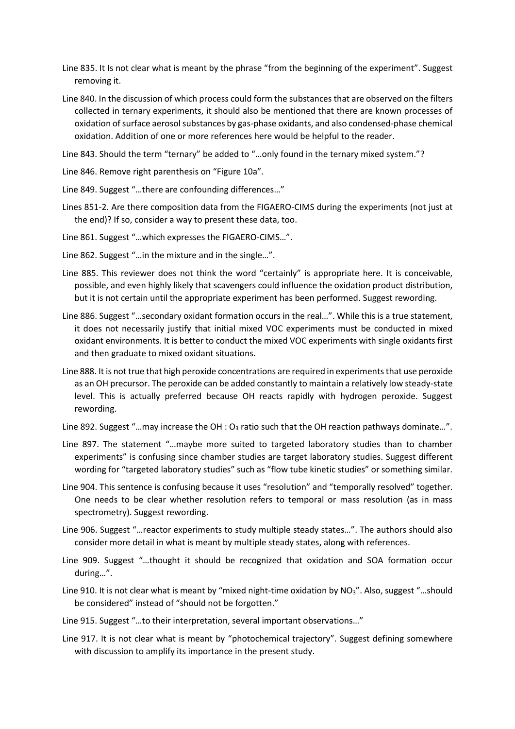- Line 835. It Is not clear what is meant by the phrase "from the beginning of the experiment". Suggest removing it.
- Line 840. In the discussion of which process could form the substances that are observed on the filters collected in ternary experiments, it should also be mentioned that there are known processes of oxidation of surface aerosol substances by gas-phase oxidants, and also condensed-phase chemical oxidation. Addition of one or more references here would be helpful to the reader.
- Line 843. Should the term "ternary" be added to "…only found in the ternary mixed system."?
- Line 846. Remove right parenthesis on "Figure 10a".
- Line 849. Suggest "…there are confounding differences…"
- Lines 851-2. Are there composition data from the FIGAERO-CIMS during the experiments (not just at the end)? If so, consider a way to present these data, too.
- Line 861. Suggest "…which expresses the FIGAERO-CIMS…".
- Line 862. Suggest "…in the mixture and in the single…".
- Line 885. This reviewer does not think the word "certainly" is appropriate here. It is conceivable, possible, and even highly likely that scavengers could influence the oxidation product distribution, but it is not certain until the appropriate experiment has been performed. Suggest rewording.
- Line 886. Suggest "…secondary oxidant formation occurs in the real…". While this is a true statement, it does not necessarily justify that initial mixed VOC experiments must be conducted in mixed oxidant environments. It is better to conduct the mixed VOC experiments with single oxidants first and then graduate to mixed oxidant situations.
- Line 888. It is not true that high peroxide concentrations are required in experiments that use peroxide as an OH precursor. The peroxide can be added constantly to maintain a relatively low steady-state level. This is actually preferred because OH reacts rapidly with hydrogen peroxide. Suggest rewording.
- Line 892. Suggest "...may increase the OH :  $O_3$  ratio such that the OH reaction pathways dominate...".
- Line 897. The statement "…maybe more suited to targeted laboratory studies than to chamber experiments" is confusing since chamber studies are target laboratory studies. Suggest different wording for "targeted laboratory studies" such as "flow tube kinetic studies" or something similar.
- Line 904. This sentence is confusing because it uses "resolution" and "temporally resolved" together. One needs to be clear whether resolution refers to temporal or mass resolution (as in mass spectrometry). Suggest rewording.
- Line 906. Suggest "…reactor experiments to study multiple steady states…". The authors should also consider more detail in what is meant by multiple steady states, along with references.
- Line 909. Suggest "…thought it should be recognized that oxidation and SOA formation occur during…".
- Line 910. It is not clear what is meant by "mixed night-time oxidation by  $NO<sub>3</sub>$ ". Also, suggest "...should be considered" instead of "should not be forgotten."
- Line 915. Suggest "…to their interpretation, several important observations…"
- Line 917. It is not clear what is meant by "photochemical trajectory". Suggest defining somewhere with discussion to amplify its importance in the present study.